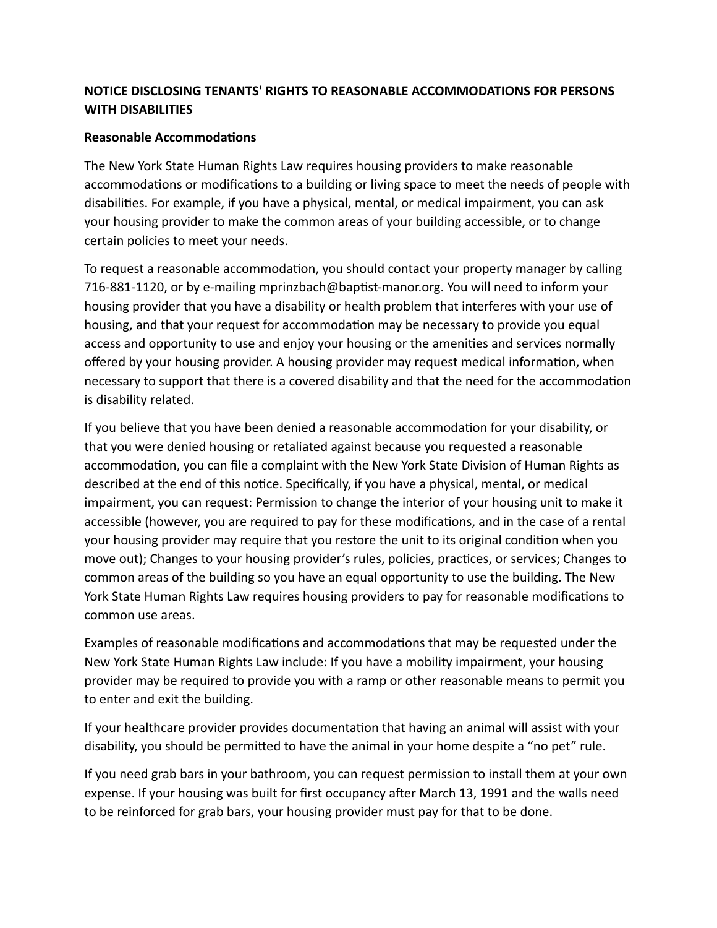## **NOTICE DISCLOSING TENANTS' RIGHTS TO REASONABLE ACCOMMODATIONS FOR PERSONS WITH DISABILITIES**

## **Reasonable Accommodations**

The New York State Human Rights Law requires housing providers to make reasonable accommodations or modifications to a building or living space to meet the needs of people with disabilities. For example, if you have a physical, mental, or medical impairment, you can ask your housing provider to make the common areas of your building accessible, or to change certain policies to meet your needs.

To request a reasonable accommodation, you should contact your property manager by calling 716-881-1120, or by e-mailing mprinzbach@baptist-manor.org. You will need to inform your housing provider that you have a disability or health problem that interferes with your use of housing, and that your request for accommodation may be necessary to provide you equal access and opportunity to use and enjoy your housing or the amenities and services normally offered by your housing provider. A housing provider may request medical information, when necessary to support that there is a covered disability and that the need for the accommodation is disability related.

If you believe that you have been denied a reasonable accommodation for your disability, or that you were denied housing or retaliated against because you requested a reasonable accommodation, you can file a complaint with the New York State Division of Human Rights as described at the end of this notice. Specifically, if you have a physical, mental, or medical impairment, you can request: Permission to change the interior of your housing unit to make it accessible (however, you are required to pay for these modifications, and in the case of a rental your housing provider may require that you restore the unit to its original condition when you move out); Changes to your housing provider's rules, policies, practices, or services; Changes to common areas of the building so you have an equal opportunity to use the building. The New York State Human Rights Law requires housing providers to pay for reasonable modifications to common use areas.

Examples of reasonable modifications and accommodations that may be requested under the New York State Human Rights Law include: If you have a mobility impairment, your housing provider may be required to provide you with a ramp or other reasonable means to permit you to enter and exit the building.

If your healthcare provider provides documentation that having an animal will assist with your disability, you should be permitted to have the animal in your home despite a "no pet" rule.

If you need grab bars in your bathroom, you can request permission to install them at your own expense. If your housing was built for first occupancy after March 13, 1991 and the walls need to be reinforced for grab bars, your housing provider must pay for that to be done.